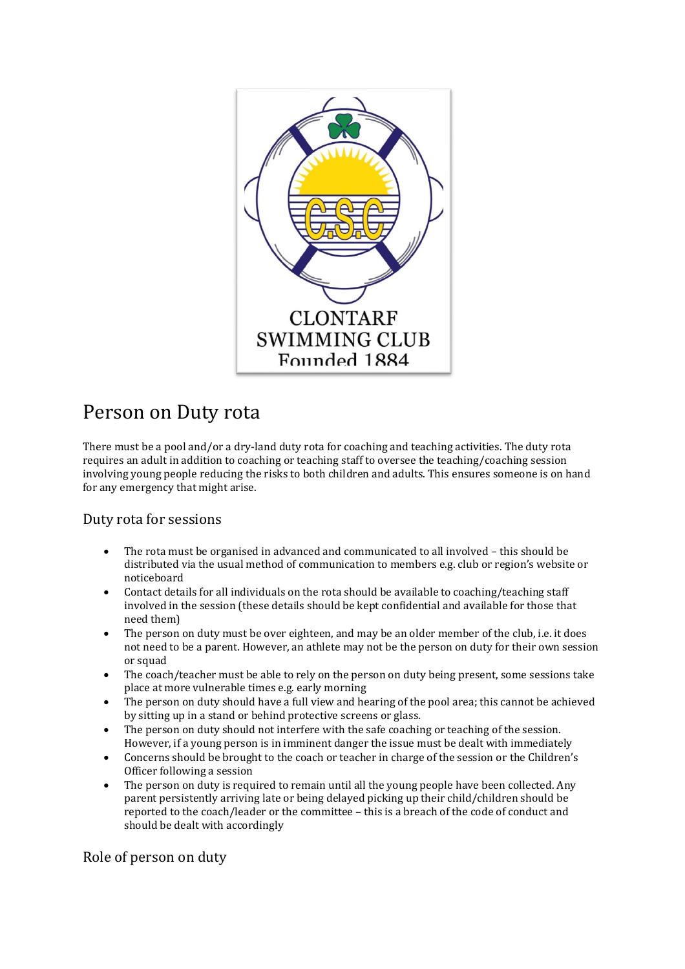

## Person on Duty rota

There must be a pool and/or a dry-land duty rota for coaching and teaching activities. The duty rota requires an adult in addition to coaching or teaching staff to oversee the teaching/coaching session involving young people reducing the risks to both children and adults. This ensures someone is on hand for any emergency that might arise.

Duty rota for sessions

- The rota must be organised in advanced and communicated to all involved this should be distributed via the usual method of communication to members e.g. club or region's website or noticeboard
- Contact details for all individuals on the rota should be available to coaching/teaching staff involved in the session (these details should be kept confidential and available for those that need them)
- The person on duty must be over eighteen, and may be an older member of the club, i.e. it does not need to be a parent. However, an athlete may not be the person on duty for their own session or squad
- The coach/teacher must be able to rely on the person on duty being present, some sessions take place at more vulnerable times e.g. early morning
- The person on duty should have a full view and hearing of the pool area; this cannot be achieved by sitting up in a stand or behind protective screens or glass.
- The person on duty should not interfere with the safe coaching or teaching of the session. However, if a young person is in imminent danger the issue must be dealt with immediately
- Concerns should be brought to the coach or teacher in charge of the session or the Children's Officer following a session
- The person on duty is required to remain until all the young people have been collected. Any parent persistently arriving late or being delayed picking up their child/children should be reported to the coach/leader or the committee – this is a breach of the code of conduct and should be dealt with accordingly

Role of person on duty